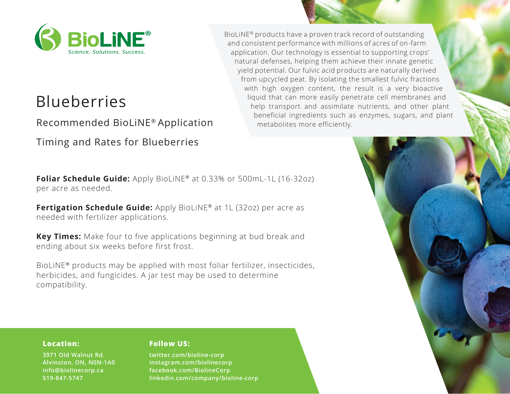

# Blueberries

Recommended BioLiNE® Application

Timing and Rates for Blueberries

**Foliar Schedule Guide:** Apply BioLiNE<sup>®</sup> at 0.33% or 500mL-1L (16-32oz) per acre as needed.

**Fertigation Schedule Guide:** Apply BioLiNE® at 1L (32oz) per acre as needed with fertilizer applications.

**Key Times:** Make four to five applications beginning at bud break and ending about six weeks before first frost.

BioLiNE® products may be applied with most foliar fertilizer, insecticides, herbicides, and fungicides. A jar test may be used to determine compatibility.

BioLiNE® products have a proven track record of outstanding and consistent performance with millions of acres of on-farm application. Our technology is essential to supporting crops' natural defenses, helping them achieve their innate genetic yield potential. Our fulvic acid products are naturally derived from upcycled peat. By isolating the smallest fulvic fractions with high oxygen content, the result is a very bioactive liquid that can more easily penetrate cell membranes and help transport and assimilate nutrients, and other plant beneficial ingredients such as enzymes, sugars, and plant metabolites more efficiently.



#### **Location:**

**3971 Old Walnut Rd. Alvinston, ON, N0N-1A0 info@biolinecorp.ca 519-847-5747**

# **Follow US:**

**twitter.com/bioline-corp instagram.com/biolinecorp facebook.com/BiolineCorp linkedin.com/company/bioline-corp**